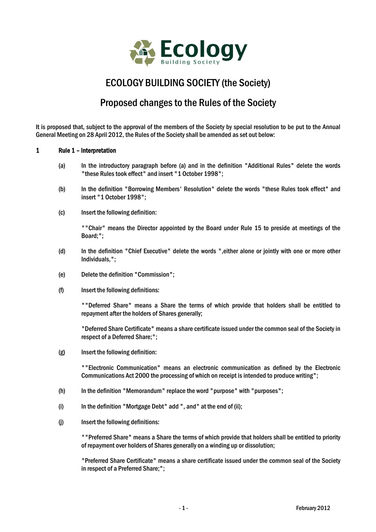

# ECOLOGY BUILDING SOCIETY (the Society)

# Proposed changes to the Rules of the Society

It is proposed that, subject to the approval of the members of the Society by special resolution to be put to the Annual General Meeting on 28 April 2012, the Rules of the Society shall be amended as set out below:

## 1 Rule 1 – Interpretation

- (a) In the introductory paragraph before (a) and in the definition "Additional Rules" delete the words "these Rules took effect" and insert "1 October 1998";
- (b) In the definition "Borrowing Members' Resolution" delete the words "these Rules took effect" and insert "1 October 1998";
- (c) Insert the following definition:

""Chair" means the Director appointed by the Board under Rule 15 to preside at meetings of the Board;";

- (d) In the definition "Chief Executive" delete the words ",either alone or jointly with one or more other Individuals,";
- (e) Delete the definition "Commission";
- (f) Insert the following definitions:

""Deferred Share" means a Share the terms of which provide that holders shall be entitled to repayment after the holders of Shares generally;

"Deferred Share Certificate" means a share certificate issued under the common seal of the Society in respect of a Deferred Share;";

(g) Insert the following definition:

""Electronic Communication" means an electronic communication as defined by the Electronic Communications Act 2000 the processing of which on receipt is intended to produce writing";

- $(h)$  In the definition "Memorandum" replace the word "purpose" with "purposes";
- (i) In the definition "Mortgage Debt" add ", and" at the end of (ii);
- (j) Insert the following definitions:

""Preferred Share" means a Share the terms of which provide that holders shall be entitled to priority of repayment over holders of Shares generally on a winding up or dissolution;

"Preferred Share Certificate" means a share certificate issued under the common seal of the Society in respect of a Preferred Share;";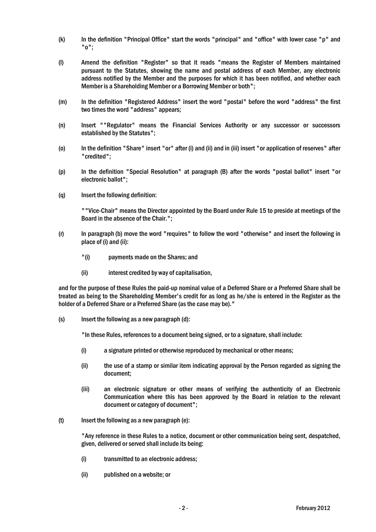- (k) In the definition "Principal Office" start the words "principal" and "office" with lower case "p" and "o";
- (l) Amend the definition "Register" so that it reads "means the Register of Members maintained pursuant to the Statutes, showing the name and postal address of each Member, any electronic address notified by the Member and the purposes for which it has been notified, and whether each Member is a Shareholding Member or a Borrowing Member or both";
- (m) In the definition "Registered Address" insert the word "postal" before the word "address" the first two times the word "address" appears;
- (n) Insert ""Regulator" means the Financial Services Authority or any successor or successors established by the Statutes";
- (o) In the definition "Share" insert "or" after (i) and (ii) and in (iii) insert "or application of reserves" after "credited";
- (p) In the definition "Special Resolution" at paragraph (B) after the words "postal ballot" insert "or electronic ballot";
- (q) Insert the following definition:

""Vice-Chair" means the Director appointed by the Board under Rule 15 to preside at meetings of the Board in the absence of the Chair.";

- (r) In paragraph (b) move the word "requires" to follow the word "otherwise" and insert the following in place of (i) and (ii):
	- "(i) payments made on the Shares; and
	- (ii) interest credited by way of capitalisation,

and for the purpose of these Rules the paid-up nominal value of a Deferred Share or a Preferred Share shall be treated as being to the Shareholding Member's credit for as long as he/she is entered in the Register as the holder of a Deferred Share or a Preferred Share (as the case may be)."

(s) Insert the following as a new paragraph (d):

"In these Rules, references to a document being signed, or to a signature, shall include:

- (i) a signature printed or otherwise reproduced by mechanical or other means;
- (ii) the use of a stamp or similar item indicating approval by the Person regarded as signing the document;
- (iii) an electronic signature or other means of verifying the authenticity of an Electronic Communication where this has been approved by the Board in relation to the relevant document or category of document";
- $(t)$  Insert the following as a new paragraph  $(e)$ :

"Any reference in these Rules to a notice, document or other communication being sent, despatched, given, delivered or served shall include its being:

- (i) transmitted to an electronic address;
- (ii) published on a website; or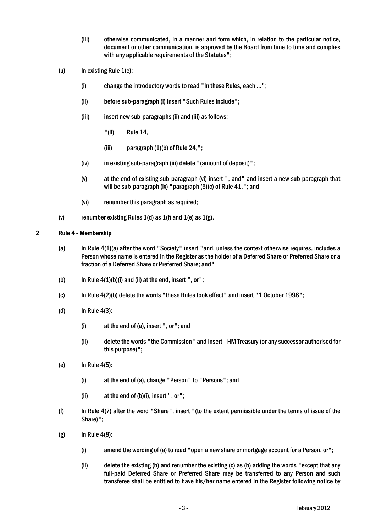- (iii) otherwise communicated, in a manner and form which, in relation to the particular notice, document or other communication, is approved by the Board from time to time and complies with any applicable requirements of the Statutes";
- (u) In existing Rule  $1(e)$ :
	- (i) change the introductory words to read "In these Rules, each …";
	- (ii) before sub-paragraph (i) insert "Such Rules include";
	- (iii) insert new sub-paragraphs (ii) and (iii) as follows:
		- "(ii) Rule 14,
		- (iii) paragraph (1)(b) of Rule 24,";
	- (iv) in existing sub-paragraph (iii) delete "(amount of deposit)";
	- (v) at the end of existing sub-paragraph (vi) insert ", and" and insert a new sub-paragraph that will be sub-paragraph (ix) "paragraph (5)(c) of Rule 41."; and
	- (vi) renumber this paragraph as required;
- (v) renumber existing Rules  $1(d)$  as  $1(f)$  and  $1(e)$  as  $1(g)$ .

# 2 Rule 4 - Membership

- (a) In Rule 4(1)(a) after the word "Society" insert "and, unless the context otherwise requires, includes a Person whose name is entered in the Register as the holder of a Deferred Share or Preferred Share or a fraction of a Deferred Share or Preferred Share; and"
- (b) In Rule  $4(1)(b)(i)$  and (ii) at the end, insert ", or";
- (c) In Rule 4(2)(b) delete the words "these Rules took effect" and insert "1 October 1998";
- (d) In Rule 4(3):
	- (i) at the end of (a), insert ", or"; and
	- (ii) delete the words "the Commission" and insert "HM Treasury (or any successor authorised for this purpose)";
- (e) In Rule 4(5):
	- (i) at the end of (a), change "Person" to "Persons"; and
	- (ii) at the end of (b)(i), insert ", or";
- (f) In Rule 4(7) after the word "Share", insert "(to the extent permissible under the terms of issue of the Share)";
- $(g)$  In Rule 4(8):
	- (i) amend the wording of (a) to read "open a new share or mortgage account for a Person, or";
	- (ii) delete the existing (b) and renumber the existing (c) as (b) adding the words "except that any full-paid Deferred Share or Preferred Share may be transferred to any Person and such transferee shall be entitled to have his/her name entered in the Register following notice by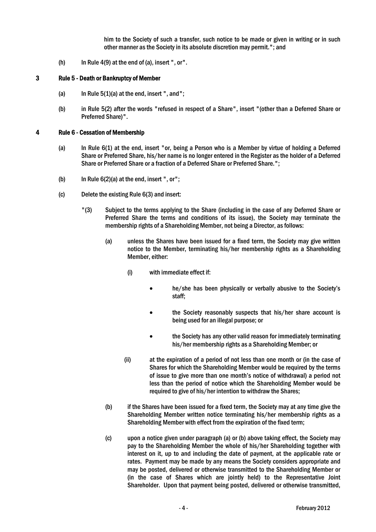him to the Society of such a transfer, such notice to be made or given in writing or in such other manner as the Society in its absolute discretion may permit."; and

(h) In Rule 4(9) at the end of (a), insert ", or".

## 3 Rule 5 - Death or Bankruptcy of Member

- (a) In Rule  $5(1)(a)$  at the end, insert ", and";
- (b) in Rule 5(2) after the words "refused in respect of a Share", insert "(other than a Deferred Share or Preferred Share)".

## 4 Rule 6 - Cessation of Membership

- (a) In Rule 6(1) at the end, insert "or, being a Person who is a Member by virtue of holding a Deferred Share or Preferred Share, his/her name is no longer entered in the Register as the holder of a Deferred Share or Preferred Share or a fraction of a Deferred Share or Preferred Share.";
- (b) In Rule  $6(2)(a)$  at the end, insert ", or";
- (c) Delete the existing Rule 6(3) and insert:
	- "(3) Subject to the terms applying to the Share (including in the case of any Deferred Share or Preferred Share the terms and conditions of its issue), the Society may terminate the membership rights of a Shareholding Member, not being a Director, as follows:
		- (a) unless the Shares have been issued for a fixed term, the Society may give written notice to the Member, terminating his/her membership rights as a Shareholding Member, either:
			- (i) with immediate effect if:
				- he/she has been physically or verbally abusive to the Society's staff;
				- the Society reasonably suspects that his/her share account is being used for an illegal purpose; or
				- the Society has any other valid reason for immediately terminating his/her membership rights as a Shareholding Member; or
			- (ii) at the expiration of a period of not less than one month or (in the case of Shares for which the Shareholding Member would be required by the terms of issue to give more than one month's notice of withdrawal) a period not less than the period of notice which the Shareholding Member would be required to give of his/her intention to withdraw the Shares;
		- (b) if the Shares have been issued for a fixed term, the Society may at any time give the Shareholding Member written notice terminating his/her membership rights as a Shareholding Member with effect from the expiration of the fixed term;
		- (c) upon a notice given under paragraph (a) or (b) above taking effect, the Society may pay to the Shareholding Member the whole of his/her Shareholding together with interest on it, up to and including the date of payment, at the applicable rate or rates. Payment may be made by any means the Society considers appropriate and may be posted, delivered or otherwise transmitted to the Shareholding Member or (in the case of Shares which are jointly held) to the Representative Joint Shareholder. Upon that payment being posted, delivered or otherwise transmitted,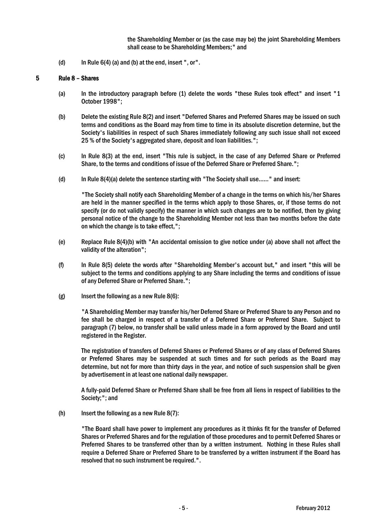the Shareholding Member or (as the case may be) the joint Shareholding Members shall cease to be Shareholding Members;" and

(d) In Rule  $6(4)$  (a) and (b) at the end, insert ", or".

## 5 Rule 8 – Shares

- (a) In the introductory paragraph before (1) delete the words "these Rules took effect" and insert "1 October 1998";
- (b) Delete the existing Rule 8(2) and insert "Deferred Shares and Preferred Shares may be issued on such terms and conditions as the Board may from time to time in its absolute discretion determine, but the Society's liabilities in respect of such Shares immediately following any such issue shall not exceed 25 % of the Society's aggregated share, deposit and loan liabilities.";
- (c) In Rule 8(3) at the end, insert "This rule is subject, in the case of any Deferred Share or Preferred Share, to the terms and conditions of issue of the Deferred Share or Preferred Share.";
- (d) In Rule 8(4)(a) delete the sentence starting with "The Society shall use……" and insert:

"The Society shall notify each Shareholding Member of a change in the terms on which his/her Shares are held in the manner specified in the terms which apply to those Shares, or, if those terms do not specify (or do not validly specify) the manner in which such changes are to be notified, then by giving personal notice of the change to the Shareholding Member not less than two months before the date on which the change is to take effect,";

- (e) Replace Rule 8(4)(b) with "An accidental omission to give notice under (a) above shall not affect the validity of the alteration";
- (f) In Rule 8(5) delete the words after "Shareholding Member's account but," and insert "this will be subject to the terms and conditions applying to any Share including the terms and conditions of issue of any Deferred Share or Preferred Share.";
- $(g)$  Insert the following as a new Rule 8(6):

"A Shareholding Member may transfer his/her Deferred Share or Preferred Share to any Person and no fee shall be charged in respect of a transfer of a Deferred Share or Preferred Share. Subject to paragraph (7) below, no transfer shall be valid unless made in a form approved by the Board and until registered in the Register.

The registration of transfers of Deferred Shares or Preferred Shares or of any class of Deferred Shares or Preferred Shares may be suspended at such times and for such periods as the Board may determine, but not for more than thirty days in the year, and notice of such suspension shall be given by advertisement in at least one national daily newspaper.

A fully-paid Deferred Share or Preferred Share shall be free from all liens in respect of liabilities to the Society;"; and

(h) Insert the following as a new Rule 8(7):

"The Board shall have power to implement any procedures as it thinks fit for the transfer of Deferred Shares or Preferred Shares and for the regulation of those procedures and to permit Deferred Shares or Preferred Shares to be transferred other than by a written instrument. Nothing in these Rules shall require a Deferred Share or Preferred Share to be transferred by a written instrument if the Board has resolved that no such instrument be required.".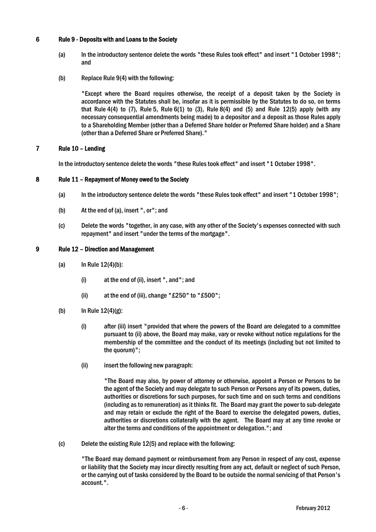# 6 Rule 9 - Deposits with and Loans to the Society

- (a) In the introductory sentence delete the words "these Rules took effect" and insert "1 October 1998"; and
- (b) Replace Rule 9(4) with the following:

"Except where the Board requires otherwise, the receipt of a deposit taken by the Society in accordance with the Statutes shall be, insofar as it is permissible by the Statutes to do so, on terms that Rule 4(4) to (7), Rule 5, Rule 6(1) to (3), Rule 8(4) and (5) and Rule 12(5) apply (with any necessary consequential amendments being made) to a depositor and a deposit as those Rules apply to a Shareholding Member (other than a Deferred Share holder or Preferred Share holder) and a Share (other than a Deferred Share or Preferred Share)."

## 7 Rule 10 – Lending

In the introductory sentence delete the words "these Rules took effect" and insert "1 October 1998".

## 8 Rule 11 – Repayment of Money owed to the Society

- (a) In the introductory sentence delete the words "these Rules took effect" and insert "1 October 1998";
- (b) At the end of (a), insert ", or"; and
- (c) Delete the words "together, in any case, with any other of the Society's expenses connected with such repayment" and insert "under the terms of the mortgage".

#### 9 Rule 12 – Direction and Management

- (a)  $\ln \text{Rule } 12(4)(b)$ :
	- (i) at the end of (ii), insert ", and"; and
	- (ii) at the end of (iii), change "£250" to "£500";
- (b) In Rule 12(4)(g):
	- (i) after (iii) insert "provided that where the powers of the Board are delegated to a committee pursuant to (ii) above, the Board may make, vary or revoke without notice regulations for the membership of the committee and the conduct of its meetings (including but not limited to the quorum)";
	- (ii) insert the following new paragraph:

"The Board may also, by power of attorney or otherwise, appoint a Person or Persons to be the agent of the Society and may delegate to such Person or Persons any of its powers, duties, authorities or discretions for such purposes, for such time and on such terms and conditions (including as to remuneration) as it thinks fit. The Board may grant the power to sub-delegate and may retain or exclude the right of the Board to exercise the delegated powers, duties, authorities or discretions collaterally with the agent. The Board may at any time revoke or alter the terms and conditions of the appointment or delegation."; and

(c) Delete the existing Rule 12(5) and replace with the following:

"The Board may demand payment or reimbursement from any Person in respect of any cost, expense or liability that the Society may incur directly resulting from any act, default or neglect of such Person, or the carrying out of tasks considered by the Board to be outside the normal servicing of that Person's account.".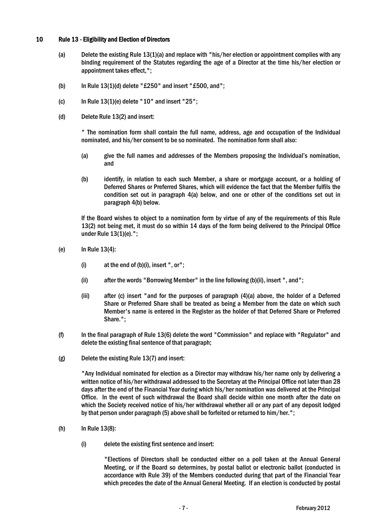# 10 Rule 13 - Eligibility and Election of Directors

- (a) Delete the existing Rule 13(1)(a) and replace with "his/her election or appointment complies with any binding requirement of the Statutes regarding the age of a Director at the time his/her election or appointment takes effect,";
- (b) In Rule  $13(1)(d)$  delete "£250" and insert "£500, and";
- (c) In Rule  $13(1)$ (e) delete "10" and insert "25";
- (d) Delete Rule 13(2) and insert:

" The nomination form shall contain the full name, address, age and occupation of the Individual nominated, and his/her consent to be so nominated. The nomination form shall also:

- (a) give the full names and addresses of the Members proposing the Individual's nomination, and
- (b) identify, in relation to each such Member, a share or mortgage account, or a holding of Deferred Shares or Preferred Shares, which will evidence the fact that the Member fulfils the condition set out in paragraph 4(a) below, and one or other of the conditions set out in paragraph 4(b) below.

If the Board wishes to object to a nomination form by virtue of any of the requirements of this Rule 13(2) not being met, it must do so within 14 days of the form being delivered to the Principal Office under Rule 13(1)(e).";

- (e) In Rule 13(4):
	- (i)  $at the end of (b)(i)$ , insert ", or";
	- (ii) after the words "Borrowing Member" in the line following (b)(ii), insert ", and";
	- (iii) after (c) insert "and for the purposes of paragraph (4)(a) above, the holder of a Deferred Share or Preferred Share shall be treated as being a Member from the date on which such Member's name is entered in the Register as the holder of that Deferred Share or Preferred Share.";
- (f) In the final paragraph of Rule 13(6) delete the word "Commission" and replace with "Regulator" and delete the existing final sentence of that paragraph;
- (g) Delete the existing Rule 13(7) and insert:

"Any Individual nominated for election as a Director may withdraw his/her name only by delivering a written notice of his/her withdrawal addressed to the Secretary at the Principal Office not later than 28 days after the end of the Financial Year during which his/her nomination was delivered at the Principal Office. In the event of such withdrawal the Board shall decide within one month after the date on which the Society received notice of his/her withdrawal whether all or any part of any deposit lodged by that person under paragraph (5) above shall be forfeited or returned to him/her.";

- (h) In Rule 13(8):
	- (i) delete the existing first sentence and insert:

"Elections of Directors shall be conducted either on a poll taken at the Annual General Meeting, or if the Board so determines, by postal ballot or electronic ballot (conducted in accordance with Rule 39) of the Members conducted during that part of the Financial Year which precedes the date of the Annual General Meeting. If an election is conducted by postal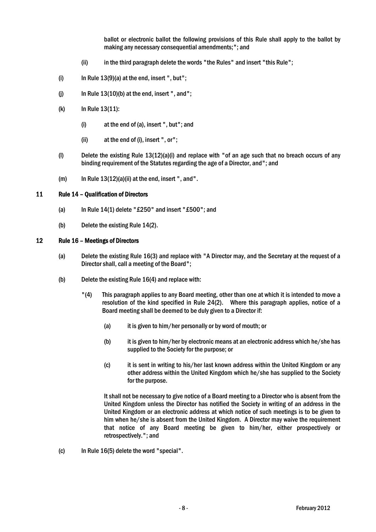ballot or electronic ballot the following provisions of this Rule shall apply to the ballot by making any necessary consequential amendments;"; and

- (ii) in the third paragraph delete the words "the Rules" and insert "this Rule";
- (i) In Rule  $13(9)(a)$  at the end, insert ", but";
- (j) In Rule  $13(10)(b)$  at the end, insert ", and";
- (k) In Rule 13(11):
	- (i) at the end of (a), insert ", but"; and
	- (ii) at the end of (i), insert ", or";
- (l) Delete the existing Rule 13(12)(a)(i) and replace with "of an age such that no breach occurs of any binding requirement of the Statutes regarding the age of a Director, and"; and
- $(m)$  In Rule  $13(12)(a)(ii)$  at the end, insert ", and".

#### 11 Rule 14 – Qualification of Directors

- (a) In Rule  $14(1)$  delete "£250" and insert "£500"; and
- (b) Delete the existing Rule 14(2).

# 12 Rule 16 – Meetings of Directors

- (a) Delete the existing Rule 16(3) and replace with "A Director may, and the Secretary at the request of a Director shall, call a meeting of the Board";
- (b) Delete the existing Rule 16(4) and replace with:
	- "(4) This paragraph applies to any Board meeting, other than one at which it is intended to move a resolution of the kind specified in Rule 24(2). Where this paragraph applies, notice of a Board meeting shall be deemed to be duly given to a Director if:
		- (a) it is given to him/her personally or by word of mouth; or
		- (b) it is given to him/her by electronic means at an electronic address which he/she has supplied to the Society for the purpose; or
		- (c) it is sent in writing to his/her last known address within the United Kingdom or any other address within the United Kingdom which he/she has supplied to the Society for the purpose.

It shall not be necessary to give notice of a Board meeting to a Director who is absent from the United Kingdom unless the Director has notified the Society in writing of an address in the United Kingdom or an electronic address at which notice of such meetings is to be given to him when he/she is absent from the United Kingdom. A Director may waive the requirement that notice of any Board meeting be given to him/her, either prospectively or retrospectively."; and

(c) In Rule 16(5) delete the word "special".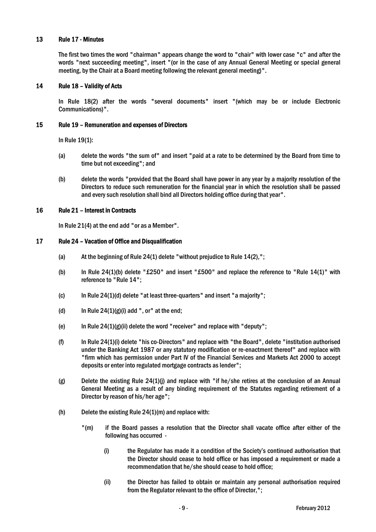# 13 Rule 17 - Minutes

The first two times the word "chairman" appears change the word to "chair" with lower case "c" and after the words "next succeeding meeting", insert "(or in the case of any Annual General Meeting or special general meeting, by the Chair at a Board meeting following the relevant general meeting)".

## 14 Rule 18 – Validity of Acts

In Rule 18(2) after the words "several documents" insert "(which may be or include Electronic Communications)".

#### 15 Rule 19 – Remuneration and expenses of Directors

In Rule 19(1):

- (a) delete the words "the sum of" and insert "paid at a rate to be determined by the Board from time to time but not exceeding"; and
- (b) delete the words "provided that the Board shall have power in any year by a majority resolution of the Directors to reduce such remuneration for the financial year in which the resolution shall be passed and every such resolution shall bind all Directors holding office during that year".

#### 16 Rule 21 – Interest in Contracts

In Rule 21(4) at the end add "or as a Member".

## 17 Rule 24 – Vacation of Office and Disqualification

- (a) At the beginning of Rule 24(1) delete "without prejudice to Rule 14(2),";
- (b) In Rule 24(1)(b) delete "£250" and insert "£500" and replace the reference to "Rule 14(1)" with reference to "Rule 14";
- (c) In Rule 24(1)(d) delete "at least three-quarters" and insert "a majority";
- (d) In Rule  $24(1)(g)(i)$  add ", or" at the end;
- (e) In Rule 24(1)(g)(ii) delete the word "receiver" and replace with "deputy";
- (f) In Rule 24(1)(i) delete "his co-Directors" and replace with "the Board", delete "institution authorised under the Banking Act 1987 or any statutory modification or re-enactment thereof" and replace with "firm which has permission under Part IV of the Financial Services and Markets Act 2000 to accept deposits or enter into regulated mortgage contracts as lender";
- (g) Delete the existing Rule 24(1)(j) and replace with "if he/she retires at the conclusion of an Annual General Meeting as a result of any binding requirement of the Statutes regarding retirement of a Director by reason of his/her age";
- (h) Delete the existing Rule 24(1)(m) and replace with:
	- "(m) if the Board passes a resolution that the Director shall vacate office after either of the following has occurred -
		- (i) the Regulator has made it a condition of the Society's continued authorisation that the Director should cease to hold office or has imposed a requirement or made a recommendation that he/she should cease to hold office;
		- (ii) the Director has failed to obtain or maintain any personal authorisation required from the Regulator relevant to the office of Director,";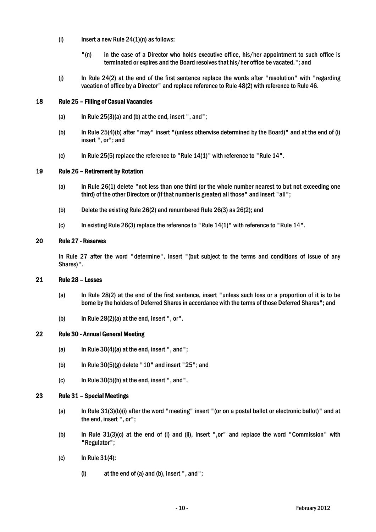- (i) Insert a new Rule  $24(1)(n)$  as follows:
	- "(n) in the case of a Director who holds executive office, his/her appointment to such office is terminated or expires and the Board resolves that his/her office be vacated."; and
- (j) In Rule 24(2) at the end of the first sentence replace the words after "resolution" with "regarding vacation of office by a Director" and replace reference to Rule 48(2) with reference to Rule 46.

## 18 Rule 25 – Filling of Casual Vacancies

- (a) In Rule  $25(3)(a)$  and (b) at the end, insert ", and";
- (b) In Rule 25(4)(b) after "may" insert "(unless otherwise determined by the Board)" and at the end of (i) insert ", or"; and
- (c) In Rule 25(5) replace the reference to "Rule 14(1)" with reference to "Rule 14".

# 19 Rule 26 – Retirement by Rotation

- (a) In Rule 26(1) delete "not less than one third (or the whole number nearest to but not exceeding one third) of the other Directors or (if that number is greater) all those" and insert "all";
- (b) Delete the existing Rule 26(2) and renumbered Rule 26(3) as 26(2); and
- (c) In existing Rule 26(3) replace the reference to "Rule 14(1)" with reference to "Rule 14".

#### 20 Rule 27 - Reserves

In Rule 27 after the word "determine", insert "(but subject to the terms and conditions of issue of any Shares)".

#### 21 Rule 28 – Losses

- (a) In Rule 28(2) at the end of the first sentence, insert "unless such loss or a proportion of it is to be borne by the holders of Deferred Shares in accordance with the terms of those Deferred Shares"; and
- (b) In Rule 28(2)(a) at the end, insert ", or".

## 22 Rule 30 - Annual General Meeting

- (a) In Rule 30(4)(a) at the end, insert ", and";
- (b) In Rule  $30(5)(g)$  delete "10" and insert "25"; and
- (c) In Rule 30(5)(h) at the end, insert ", and".

#### 23 Rule 31 – Special Meetings

- (a) In Rule 31(3)(b)(i) after the word "meeting" insert "(or on a postal ballot or electronic ballot)" and at the end, insert ", or";
- (b) In Rule 31(3)(c) at the end of (i) and (ii), insert ",or" and replace the word "Commission" with "Regulator";
- (c) In Rule 31(4):
	- (i) at the end of (a) and (b), insert ", and";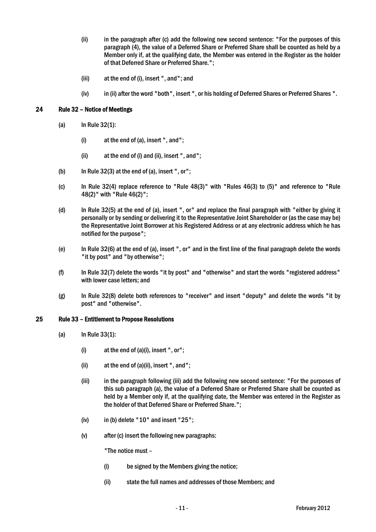- (ii) in the paragraph after (c) add the following new second sentence: "For the purposes of this paragraph (4), the value of a Deferred Share or Preferred Share shall be counted as held by a Member only if, at the qualifying date, the Member was entered in the Register as the holder of that Deferred Share or Preferred Share.";
- (iii) at the end of (i), insert ", and"; and
- (iv) in (ii) after the word "both", insert ", or his holding of Deferred Shares or Preferred Shares ".

## 24 Rule 32 – Notice of Meetings

- (a) In Rule 32(1):
	- (i) at the end of (a), insert ", and";
	- (ii) at the end of (i) and (ii), insert ", and";
- (b) In Rule  $32(3)$  at the end of (a), insert ", or";
- (c) In Rule 32(4) replace reference to "Rule 48(3)" with "Rules 46(3) to (5)" and reference to "Rule 48(2)" with "Rule 46(2)";
- (d) In Rule 32(5) at the end of (a), insert ", or" and replace the final paragraph with "either by giving it personally or by sending or delivering it to the Representative Joint Shareholder or (as the case may be) the Representative Joint Borrower at his Registered Address or at any electronic address which he has notified for the purpose";
- (e) In Rule 32(6) at the end of (a), insert ", or" and in the first line of the final paragraph delete the words "it by post" and "by otherwise";
- (f) In Rule 32(7) delete the words "it by post" and "otherwise" and start the words "registered address" with lower case letters; and
- (g) In Rule 32(8) delete both references to "receiver" and insert "deputy" and delete the words "it by post" and "otherwise".

#### 25 Rule 33 – Entitlement to Propose Resolutions

- (a) In Rule 33(1):
	- $(i)$  at the end of  $(a)(i)$ , insert ", or";
	- (ii) at the end of (a)(ii), insert ", and";
	- (iii) in the paragraph following (iii) add the following new second sentence: "For the purposes of this sub paragraph (a), the value of a Deferred Share or Preferred Share shall be counted as held by a Member only if, at the qualifying date, the Member was entered in the Register as the holder of that Deferred Share or Preferred Share.";
	- $(iv)$  in (b) delete "10" and insert "25";
	- (v) after (c) insert the following new paragraphs:

"The notice must –

- (i) be signed by the Members giving the notice;
- (ii) state the full names and addresses of those Members; and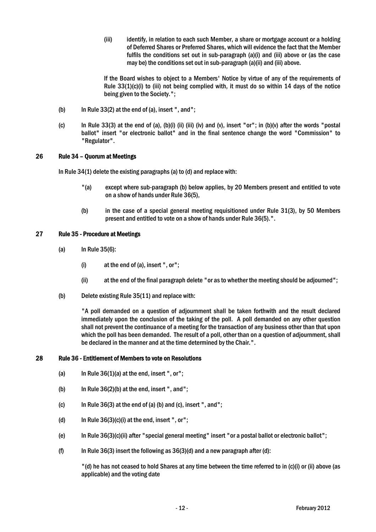(iii) identify, in relation to each such Member, a share or mortgage account or a holding of Deferred Shares or Preferred Shares, which will evidence the fact that the Member fulfils the conditions set out in sub-paragraph (a)(i) and (iii) above or (as the case may be) the conditions set out in sub-paragraph (a)(ii) and (iii) above.

If the Board wishes to object to a Members' Notice by virtue of any of the requirements of Rule 33(1)(c)(i) to (iii) not being complied with, it must do so within 14 days of the notice being given to the Society.";

- (b) In Rule  $33(2)$  at the end of (a), insert ", and";
- (c) In Rule 33(3) at the end of (a), (b)(i) (ii) (iii) (iv) and (v), insert "or"; in (b)(v) after the words "postal ballot" insert "or electronic ballot" and in the final sentence change the word "Commission" to "Regulator".

# 26 Rule 34 – Quorum at Meetings

In Rule 34(1) delete the existing paragraphs (a) to (d) and replace with:

- "(a) except where sub-paragraph (b) below applies, by 20 Members present and entitled to vote on a show of hands under Rule 36(5),
- (b) in the case of a special general meeting requisitioned under Rule 31(3), by 50 Members present and entitled to vote on a show of hands under Rule 36(5).".

# 27 Rule 35 - Procedure at Meetings

- (a) In Rule 35(6):
	- (i) at the end of (a), insert ", or";
	- (ii) at the end of the final paragraph delete "or as to whether the meeting should be adjourned";
- (b) Delete existing Rule 35(11) and replace with:

"A poll demanded on a question of adjournment shall be taken forthwith and the result declared immediately upon the conclusion of the taking of the poll. A poll demanded on any other question shall not prevent the continuance of a meeting for the transaction of any business other than that upon which the poll has been demanded. The result of a poll, other than on a question of adjournment, shall be declared in the manner and at the time determined by the Chair.".

# 28 Rule 36 - Entitlement of Members to vote on Resolutions

- (a) In Rule  $36(1)(a)$  at the end, insert ", or";
- (b) In Rule  $36(2)(b)$  at the end, insert ", and";
- (c) In Rule  $36(3)$  at the end of (a) (b) and (c), insert ", and";
- (d) In Rule 36(3)(c)(i) at the end, insert ", or";
- (e) In Rule 36(3)(c)(ii) after "special general meeting" insert "or a postal ballot or electronic ballot";
- (f) In Rule 36(3) insert the following as  $36(3)(d)$  and a new paragraph after (d):

"(d) he has not ceased to hold Shares at any time between the time referred to in (c)(i) or (ii) above (as applicable) and the voting date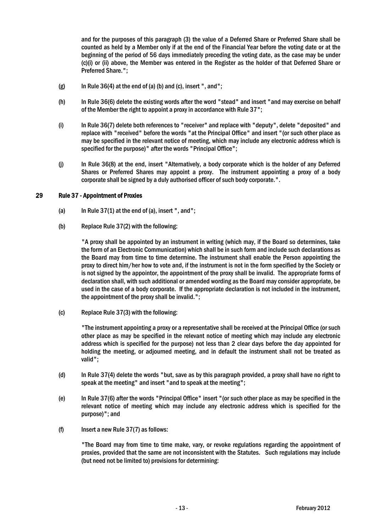and for the purposes of this paragraph (3) the value of a Deferred Share or Preferred Share shall be counted as held by a Member only if at the end of the Financial Year before the voting date or at the beginning of the period of 56 days immediately preceding the voting date, as the case may be under (c)(i) or (ii) above, the Member was entered in the Register as the holder of that Deferred Share or Preferred Share.";

- $(g)$  In Rule 36(4) at the end of (a) (b) and (c), insert ", and";
- (h) In Rule 36(6) delete the existing words after the word "stead" and insert "and may exercise on behalf of the Member the right to appoint a proxy in accordance with Rule 37";
- (i) In Rule 36(7) delete both references to "receiver" and replace with "deputy", delete "deposited" and replace with "received" before the words "at the Principal Office" and insert "(or such other place as may be specified in the relevant notice of meeting, which may include any electronic address which is specified for the purpose)" after the words "Principal Office";
- (j) In Rule 36(8) at the end, insert "Alternatively, a body corporate which is the holder of any Deferred Shares or Preferred Shares may appoint a proxy. The instrument appointing a proxy of a body corporate shall be signed by a duly authorised officer of such body corporate.".

#### 29 Rule 37 - Appointment of Proxies

- (a) In Rule  $37(1)$  at the end of (a), insert ", and";
- (b) Replace Rule 37(2) with the following:

"A proxy shall be appointed by an instrument in writing (which may, if the Board so determines, take the form of an Electronic Communication) which shall be in such form and include such declarations as the Board may from time to time determine. The instrument shall enable the Person appointing the proxy to direct him/her how to vote and, if the instrument is not in the form specified by the Society or is not signed by the appointor, the appointment of the proxy shall be invalid. The appropriate forms of declaration shall, with such additional or amended wording as the Board may consider appropriate, be used in the case of a body corporate. If the appropriate declaration is not included in the instrument, the appointment of the proxy shall be invalid.";

(c) Replace Rule 37(3) with the following:

"The instrument appointing a proxy or a representative shall be received at the Principal Office (or such other place as may be specified in the relevant notice of meeting which may include any electronic address which is specified for the purpose) not less than 2 clear days before the day appointed for holding the meeting, or adjourned meeting, and in default the instrument shall not be treated as valid";

- (d) In Rule 37(4) delete the words "but, save as by this paragraph provided, a proxy shall have no right to speak at the meeting" and insert "and to speak at the meeting";
- (e) In Rule 37(6) after the words "Principal Office" insert "(or such other place as may be specified in the relevant notice of meeting which may include any electronic address which is specified for the purpose)"; and
- (f) Insert a new Rule 37(7) as follows:

"The Board may from time to time make, vary, or revoke regulations regarding the appointment of proxies, provided that the same are not inconsistent with the Statutes. Such regulations may include (but need not be limited to) provisions for determining: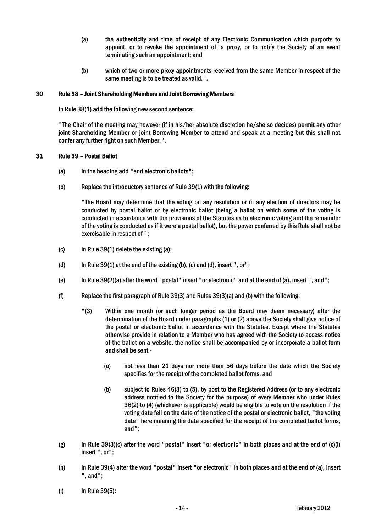- (a) the authenticity and time of receipt of any Electronic Communication which purports to appoint, or to revoke the appointment of, a proxy, or to notify the Society of an event terminating such an appointment; and
- (b) which of two or more proxy appointments received from the same Member in respect of the same meeting is to be treated as valid.".

# 30 Rule 38 – Joint Shareholding Members and Joint Borrowing Members

In Rule 38(1) add the following new second sentence:

"The Chair of the meeting may however (if in his/her absolute discretion he/she so decides) permit any other joint Shareholding Member or joint Borrowing Member to attend and speak at a meeting but this shall not confer any further right on such Member.".

# 31 Rule 39 – Postal Ballot

- (a) In the heading add "and electronic ballots";
- (b) Replace the introductory sentence of Rule 39(1) with the following:

"The Board may determine that the voting on any resolution or in any election of directors may be conducted by postal ballot or by electronic ballot (being a ballot on which some of the voting is conducted in accordance with the provisions of the Statutes as to electronic voting and the remainder of the voting is conducted as if it were a postal ballot), but the power conferred by this Rule shall not be exercisable in respect of ";

- (c) In Rule 39(1) delete the existing (a);
- (d) In Rule  $39(1)$  at the end of the existing (b), (c) and (d), insert ", or";
- (e) In Rule 39(2)(a) after the word "postal" insert "or electronic" and at the end of (a), insert ", and";
- (f) Replace the first paragraph of Rule 39(3) and Rules 39(3)(a) and (b) with the following:
	- "(3) Within one month (or such longer period as the Board may deem necessary) after the determination of the Board under paragraphs (1) or (2) above the Society shall give notice of the postal or electronic ballot in accordance with the Statutes. Except where the Statutes otherwise provide in relation to a Member who has agreed with the Society to access notice of the ballot on a website, the notice shall be accompanied by or incorporate a ballot form and shall be sent -
		- (a) not less than 21 days nor more than 56 days before the date which the Society specifies for the receipt of the completed ballot forms, and
		- (b) subject to Rules 46(3) to (5), by post to the Registered Address (or to any electronic address notified to the Society for the purpose) of every Member who under Rules 36(2) to (4) (whichever is applicable) would be eligible to vote on the resolution if the voting date fell on the date of the notice of the postal or electronic ballot, "the voting date" here meaning the date specified for the receipt of the completed ballot forms, and";
- (g) In Rule 39(3)(c) after the word "postal" insert "or electronic" in both places and at the end of (c)(i) insert ", or";
- (h) In Rule 39(4) after the word "postal" insert "or electronic" in both places and at the end of (a), insert ", and";
- (i) In Rule 39(5):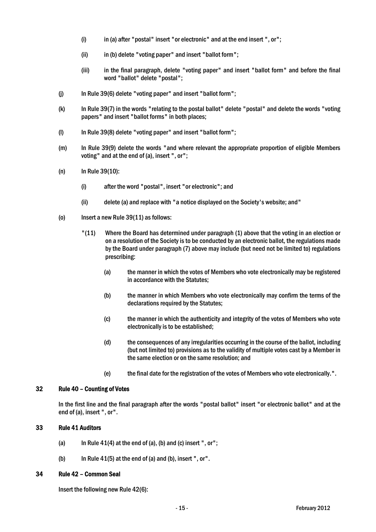- (i) in (a) after "postal" insert "or electronic" and at the end insert ", or";
- (ii) in (b) delete "voting paper" and insert "ballot form";
- (iii) in the final paragraph, delete "voting paper" and insert "ballot form" and before the final word "ballot" delete "postal";
- (j) In Rule 39(6) delete "voting paper" and insert "ballot form";
- (k) In Rule 39(7) in the words "relating to the postal ballot" delete "postal" and delete the words "voting papers" and insert "ballot forms" in both places;
- (l) In Rule 39(8) delete "voting paper" and insert "ballot form";
- (m) In Rule 39(9) delete the words "and where relevant the appropriate proportion of eligible Members voting" and at the end of (a), insert ", or";
- (n) In Rule 39(10):
	- (i) after the word "postal", insert "or electronic"; and
	- (ii) delete (a) and replace with "a notice displayed on the Society's website; and"
- (o) Insert a new Rule 39(11) as follows:
	- "(11) Where the Board has determined under paragraph (1) above that the voting in an election or on a resolution of the Society is to be conducted by an electronic ballot, the regulations made by the Board under paragraph (7) above may include (but need not be limited to) regulations prescribing:
		- (a) the manner in which the votes of Members who vote electronically may be registered in accordance with the Statutes;
		- (b) the manner in which Members who vote electronically may confirm the terms of the declarations required by the Statutes;
		- (c) the manner in which the authenticity and integrity of the votes of Members who vote electronically is to be established;
		- (d) the consequences of any irregularities occurring in the course of the ballot, including (but not limited to) provisions as to the validity of multiple votes cast by a Member in the same election or on the same resolution; and
		- (e) the final date for the registration of the votes of Members who vote electronically.".

# 32 Rule 40 – Counting of Votes

In the first line and the final paragraph after the words "postal ballot" insert "or electronic ballot" and at the end of (a), insert ", or".

# 33 Rule 41 Auditors

- (a) In Rule  $41(4)$  at the end of (a), (b) and (c) insert ", or";
- (b) In Rule  $41(5)$  at the end of (a) and (b), insert ", or".

## 34 Rule 42 – Common Seal

Insert the following new Rule 42(6):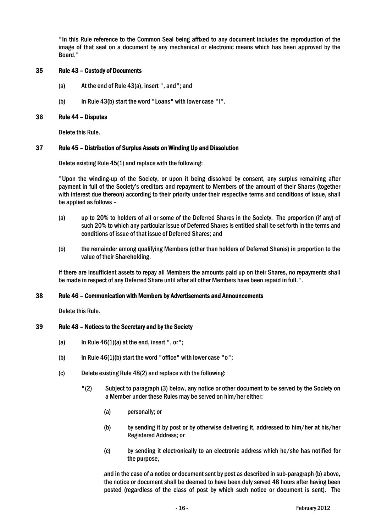"In this Rule reference to the Common Seal being affixed to any document includes the reproduction of the image of that seal on a document by any mechanical or electronic means which has been approved by the Board."

# 35 Rule 43 – Custody of Documents

- (a) At the end of Rule 43(a), insert ", and"; and
- (b) In Rule 43(b) start the word "Loans" with lower case "l".

## 36 Rule 44 – Disputes

Delete this Rule.

## 37 Rule 45 – Distribution of Surplus Assets on Winding Up and Dissolution

Delete existing Rule 45(1) and replace with the following:

"Upon the winding-up of the Society, or upon it being dissolved by consent, any surplus remaining after payment in full of the Society's creditors and repayment to Members of the amount of their Shares (together with interest due thereon) according to their priority under their respective terms and conditions of issue, shall be applied as follows –

- (a) up to 20% to holders of all or some of the Deferred Shares in the Society. The proportion (if any) of such 20% to which any particular issue of Deferred Shares is entitled shall be set forth in the terms and conditions of issue of that issue of Deferred Shares; and
- (b) the remainder among qualifying Members (other than holders of Deferred Shares) in proportion to the value of their Shareholding.

If there are insufficient assets to repay all Members the amounts paid up on their Shares, no repayments shall be made in respect of any Deferred Share until after all other Members have been repaid in full.".

#### 38 Rule 46 – Communication with Members by Advertisements and Announcements

Delete this Rule.

#### 39 Rule 48 – Notices to the Secretary and by the Society

- (a) In Rule  $46(1)(a)$  at the end, insert ", or";
- (b) In Rule  $46(1)(b)$  start the word "office" with lower case "o";
- (c) Delete existing Rule 48(2) and replace with the following:
	- "(2) Subject to paragraph (3) below, any notice or other document to be served by the Society on a Member under these Rules may be served on him/her either:
		- (a) personally; or
		- (b) by sending it by post or by otherwise delivering it, addressed to him/her at his/her Registered Address; or
		- (c) by sending it electronically to an electronic address which he/she has notified for the purpose,

and in the case of a notice or document sent by post as described in sub-paragraph (b) above, the notice or document shall be deemed to have been duly served 48 hours after having been posted (regardless of the class of post by which such notice or document is sent). The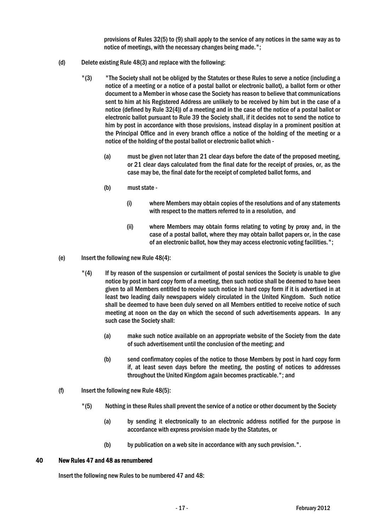provisions of Rules 32(5) to (9) shall apply to the service of any notices in the same way as to notice of meetings, with the necessary changes being made.";

- (d) Delete existing Rule 48(3) and replace with the following:
	- "(3) "The Society shall not be obliged by the Statutes or these Rules to serve a notice (including a notice of a meeting or a notice of a postal ballot or electronic ballot), a ballot form or other document to a Member in whose case the Society has reason to believe that communications sent to him at his Registered Address are unlikely to be received by him but in the case of a notice (defined by Rule 32(4)) of a meeting and in the case of the notice of a postal ballot or electronic ballot pursuant to Rule 39 the Society shall, if it decides not to send the notice to him by post in accordance with those provisions, instead display in a prominent position at the Principal Office and in every branch office a notice of the holding of the meeting or a notice of the holding of the postal ballot or electronic ballot which -
		- (a) must be given not later than 21 clear days before the date of the proposed meeting, or 21 clear days calculated from the final date for the receipt of proxies, or, as the case may be, the final date for the receipt of completed ballot forms, and
		- (b) must state
			- (i) where Members may obtain copies of the resolutions and of any statements with respect to the matters referred to in a resolution, and
			- (ii) where Members may obtain forms relating to voting by proxy and, in the case of a postal ballot, where they may obtain ballot papers or, in the case of an electronic ballot, how they may access electronic voting facilities.";
- (e) Insert the following new Rule 48(4):
	- "(4) If by reason of the suspension or curtailment of postal services the Society is unable to give notice by post in hard copy form of a meeting, then such notice shall be deemed to have been given to all Members entitled to receive such notice in hard copy form if it is advertised in at least two leading daily newspapers widely circulated in the United Kingdom. Such notice shall be deemed to have been duly served on all Members entitled to receive notice of such meeting at noon on the day on which the second of such advertisements appears. In any such case the Society shall:
		- (a) make such notice available on an appropriate website of the Society from the date of such advertisement until the conclusion of the meeting; and
		- (b) send confirmatory copies of the notice to those Members by post in hard copy form if, at least seven days before the meeting, the posting of notices to addresses throughout the United Kingdom again becomes practicable."; and
- (f) Insert the following new Rule 48(5):
	- "(5) Nothing in these Rules shall prevent the service of a notice or other document by the Society
		- (a) by sending it electronically to an electronic address notified for the purpose in accordance with express provision made by the Statutes, or
		- (b) by publication on a web site in accordance with any such provision.".

# 40 New Rules 47 and 48 as renumbered

Insert the following new Rules to be numbered 47 and 48: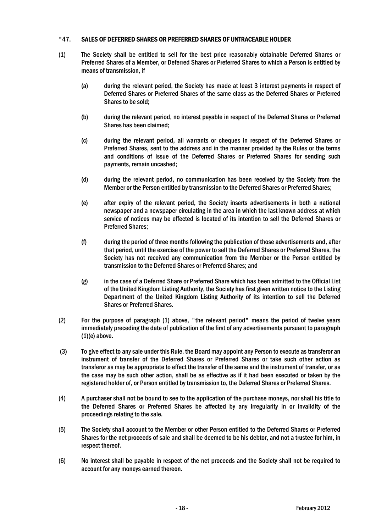# "47. SALES OF DEFERRED SHARES OR PREFERRED SHARES OF UNTRACEABLE HOLDER

- (1) The Society shall be entitled to sell for the best price reasonably obtainable Deferred Shares or Preferred Shares of a Member, or Deferred Shares or Preferred Shares to which a Person is entitled by means of transmission, if
	- (a) during the relevant period, the Society has made at least 3 interest payments in respect of Deferred Shares or Preferred Shares of the same class as the Deferred Shares or Preferred Shares to be sold;
	- (b) during the relevant period, no interest payable in respect of the Deferred Shares or Preferred Shares has been claimed;
	- (c) during the relevant period, all warrants or cheques in respect of the Deferred Shares or Preferred Shares, sent to the address and in the manner provided by the Rules or the terms and conditions of issue of the Deferred Shares or Preferred Shares for sending such payments, remain uncashed;
	- (d) during the relevant period, no communication has been received by the Society from the Member or the Person entitled by transmission to the Deferred Shares or Preferred Shares;
	- (e) after expiry of the relevant period, the Society inserts advertisements in both a national newspaper and a newspaper circulating in the area in which the last known address at which service of notices may be effected is located of its intention to sell the Deferred Shares or Preferred Shares;
	- (f) during the period of three months following the publication of those advertisements and, after that period, until the exercise of the power to sell the Deferred Shares or Preferred Shares, the Society has not received any communication from the Member or the Person entitled by transmission to the Deferred Shares or Preferred Shares; and
	- (g) in the case of a Deferred Share or Preferred Share which has been admitted to the Official List of the United Kingdom Listing Authority, the Society has first given written notice to the Listing Department of the United Kingdom Listing Authority of its intention to sell the Deferred Shares or Preferred Shares.
- (2) For the purpose of paragraph (1) above, "the relevant period" means the period of twelve years immediately preceding the date of publication of the first of any advertisements pursuant to paragraph (1)(e) above.
- (3) To give effect to any sale under this Rule, the Board may appoint any Person to execute as transferor an instrument of transfer of the Deferred Shares or Preferred Shares or take such other action as transferor as may be appropriate to effect the transfer of the same and the instrument of transfer, or as the case may be such other action, shall be as effective as if it had been executed or taken by the registered holder of, or Person entitled by transmission to, the Deferred Shares or Preferred Shares.
- (4) A purchaser shall not be bound to see to the application of the purchase moneys, nor shall his title to the Deferred Shares or Preferred Shares be affected by any irregularity in or invalidity of the proceedings relating to the sale.
- (5) The Society shall account to the Member or other Person entitled to the Deferred Shares or Preferred Shares for the net proceeds of sale and shall be deemed to be his debtor, and not a trustee for him, in respect thereof.
- (6) No interest shall be payable in respect of the net proceeds and the Society shall not be required to account for any moneys earned thereon.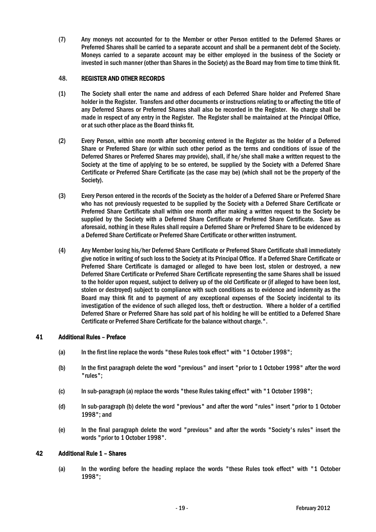(7) Any moneys not accounted for to the Member or other Person entitled to the Deferred Shares or Preferred Shares shall be carried to a separate account and shall be a permanent debt of the Society. Moneys carried to a separate account may be either employed in the business of the Society or invested in such manner (other than Shares in the Society) as the Board may from time to time think fit.

# 48. REGISTER AND OTHER RECORDS

- (1) The Society shall enter the name and address of each Deferred Share holder and Preferred Share holder in the Register. Transfers and other documents or instructions relating to or affecting the title of any Deferred Shares or Preferred Shares shall also be recorded in the Register. No charge shall be made in respect of any entry in the Register. The Register shall be maintained at the Principal Office, or at such other place as the Board thinks fit.
- (2) Every Person, within one month after becoming entered in the Register as the holder of a Deferred Share or Preferred Share (or within such other period as the terms and conditions of issue of the Deferred Shares or Preferred Shares may provide), shall, if he/she shall make a written request to the Society at the time of applying to be so entered, be supplied by the Society with a Deferred Share Certificate or Preferred Share Certificate (as the case may be) (which shall not be the property of the Society).
- (3) Every Person entered in the records of the Society as the holder of a Deferred Share or Preferred Share who has not previously requested to be supplied by the Society with a Deferred Share Certificate or Preferred Share Certificate shall within one month after making a written request to the Society be supplied by the Society with a Deferred Share Certificate or Preferred Share Certificate. Save as aforesaid, nothing in these Rules shall require a Deferred Share or Preferred Share to be evidenced by a Deferred Share Certificate or Preferred Share Certificate or other written instrument.
- (4) Any Member losing his/her Deferred Share Certificate or Preferred Share Certificate shall immediately give notice in writing of such loss to the Society at its Principal Office. If a Deferred Share Certificate or Preferred Share Certificate is damaged or alleged to have been lost, stolen or destroyed, a new Deferred Share Certificate or Preferred Share Certificate representing the same Shares shall be issued to the holder upon request, subject to delivery up of the old Certificate or (if alleged to have been lost, stolen or destroyed) subject to compliance with such conditions as to evidence and indemnity as the Board may think fit and to payment of any exceptional expenses of the Society incidental to its investigation of the evidence of such alleged loss, theft or destruction. Where a holder of a certified Deferred Share or Preferred Share has sold part of his holding he will be entitled to a Deferred Share Certificate or Preferred Share Certificate for the balance without charge.".

# 41 Additional Rules – Preface

- (a) In the first line replace the words "these Rules took effect" with "1 October 1998";
- (b) In the first paragraph delete the word "previous" and insert "prior to 1 October 1998" after the word "rules";
- (c) In sub-paragraph (a) replace the words "these Rules taking effect" with "1 October 1998";
- (d) In sub-paragraph (b) delete the word "previous" and after the word "rules" insert "prior to 1 October 1998"; and
- (e) In the final paragraph delete the word "previous" and after the words "Society's rules" insert the words "prior to 1 October 1998".

# 42 Additional Rule 1 – Shares

(a) In the wording before the heading replace the words "these Rules took effect" with "1 October 1998";